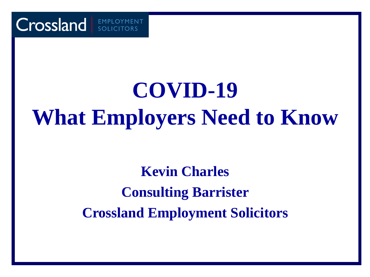

# **COVID-19 What Employers Need to Know**

**Kevin Charles Consulting Barrister Crossland Employment Solicitors**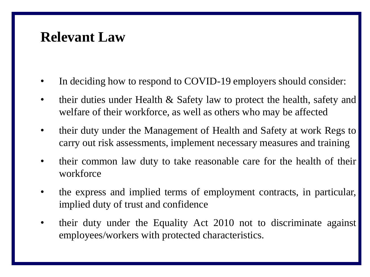#### **Relevant Law**

- In deciding how to respond to COVID-19 employers should consider:
- their duties under Health  $\&$  Safety law to protect the health, safety and welfare of their workforce, as well as others who may be affected
- their duty under the Management of Health and Safety at work Regs to carry out risk assessments, implement necessary measures and training
- their common law duty to take reasonable care for the health of their workforce
- the express and implied terms of employment contracts, in particular, implied duty of trust and confidence
- their duty under the Equality Act 2010 not to discriminate against employees/workers with protected characteristics.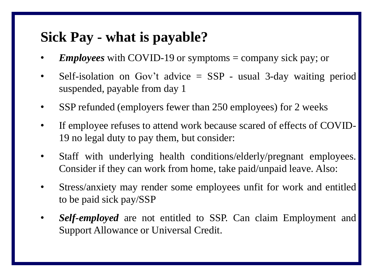#### **Sick Pay - what is payable?**

- *Employees* with COVID-19 or symptoms = company sick pay; or
- Self-isolation on Gov't advice  $=$  SSP usual 3-day waiting period suspended, payable from day 1
- SSP refunded (employers fewer than 250 employees) for 2 weeks
- If employee refuses to attend work because scared of effects of COVID-19 no legal duty to pay them, but consider:
- Staff with underlying health conditions/elderly/pregnant employees. Consider if they can work from home, take paid/unpaid leave. Also:
- Stress/anxiety may render some employees unfit for work and entitled to be paid sick pay/SSP
- *Self-employed* are not entitled to SSP. Can claim Employment and Support Allowance or Universal Credit.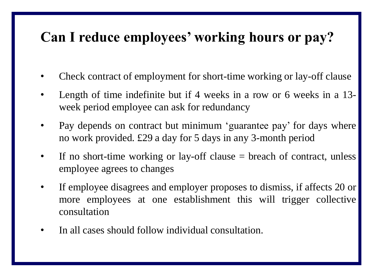### **Can I reduce employees' working hours or pay?**

- Check contract of employment for short-time working or lay-off clause
- Length of time indefinite but if 4 weeks in a row or 6 weeks in a 13 week period employee can ask for redundancy
- Pay depends on contract but minimum 'guarantee pay' for days where no work provided. £29 a day for 5 days in any 3-month period
- If no short-time working or lay-off clause = breach of contract, unless employee agrees to changes
- If employee disagrees and employer proposes to dismiss, if affects 20 or more employees at one establishment this will trigger collective consultation
- In all cases should follow individual consultation.